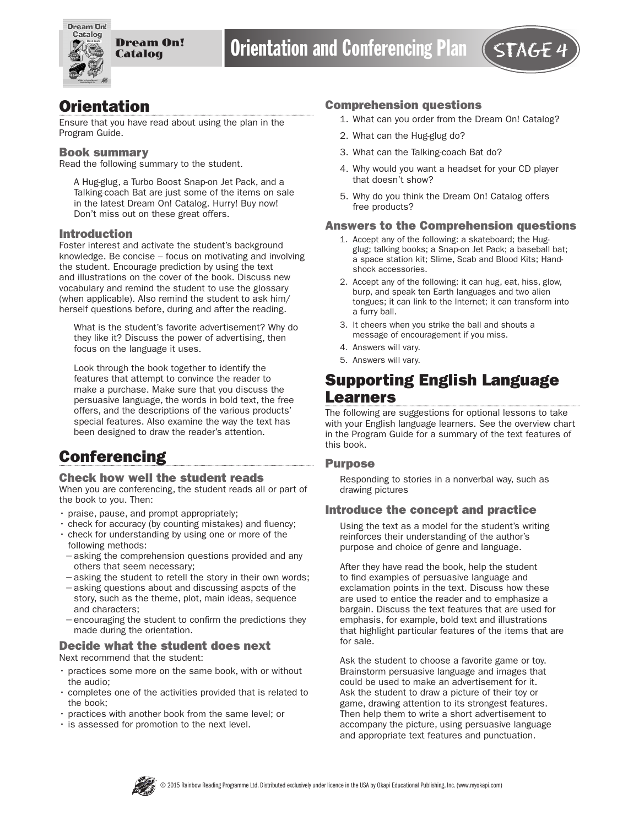

## **Orientation**

Ensure that you have read about using the plan in the Program Guide.

#### Book summary

Read the following summary to the student.

A Hug-glug, a Turbo Boost Snap-on Jet Pack, and a Talking-coach Bat are just some of the items on sale in the latest Dream On! Catalog. Hurry! Buy now! Don't miss out on these great offers.

#### Introduction

Foster interest and activate the student's background knowledge. Be concise – focus on motivating and involving the student. Encourage prediction by using the text and illustrations on the cover of the book. Discuss new vocabulary and remind the student to use the glossary (when applicable). Also remind the student to ask him/ herself questions before, during and after the reading.

What is the student's favorite advertisement? Why do they like it? Discuss the power of advertising, then focus on the language it uses.

Look through the book together to identify the features that attempt to convince the reader to make a purchase. Make sure that you discuss the persuasive language, the words in bold text, the free offers, and the descriptions of the various products' special features. Also examine the way the text has been designed to draw the reader's attention.

# **Conferencing**

#### Check how well the student reads

When you are conferencing, the student reads all or part of the book to you. Then:

- praise, pause, and prompt appropriately;
- check for accuracy (by counting mistakes) and fluency;
- check for understanding by using one or more of the following methods:
- −asking the comprehension questions provided and any others that seem necessary;
- −asking the student to retell the story in their own words;
- −asking questions about and discussing aspcts of the story, such as the theme, plot, main ideas, sequence and characters;
- −encouraging the student to confirm the predictions they made during the orientation.

### Decide what the student does next

Next recommend that the student:

- practices some more on the same book, with or without the audio;
- completes one of the activities provided that is related to the book;
- practices with another book from the same level; or
- is assessed for promotion to the next level.

### Comprehension questions

- 1. What can you order from the Dream On! Catalog?
- 2. What can the Hug-glug do?
- 3. What can the Talking-coach Bat do?
- 4. Why would you want a headset for your CD player that doesn't show?
- 5. Why do you think the Dream On! Catalog offers free products?

#### Answers to the Comprehension questions

- 1. Accept any of the following: a skateboard; the Hugglug; talking books; a Snap-on Jet Pack; a baseball bat; a space station kit; Slime, Scab and Blood Kits; Handshock accessories.
- 2. Accept any of the following: it can hug, eat, hiss, glow, burp, and speak ten Earth languages and two alien tongues; it can link to the Internet; it can transform into a furry ball.
- 3. It cheers when you strike the ball and shouts a message of encouragement if you miss.
- 4. Answers will vary.
- 5. Answers will vary.

# Supporting English Language Learners

The following are suggestions for optional lessons to take with your English language learners. See the overview chart in the Program Guide for a summary of the text features of this book.

#### Purpose

Responding to stories in a nonverbal way, such as drawing pictures

#### Introduce the concept and practice

Using the text as a model for the student's writing reinforces their understanding of the author's purpose and choice of genre and language.

After they have read the book, help the student to find examples of persuasive language and exclamation points in the text. Discuss how these are used to entice the reader and to emphasize a bargain. Discuss the text features that are used for emphasis, for example, bold text and illustrations that highlight particular features of the items that are for sale.

Ask the student to choose a favorite game or toy. Brainstorm persuasive language and images that could be used to make an advertisement for it. Ask the student to draw a picture of their toy or game, drawing attention to its strongest features. Then help them to write a short advertisement to accompany the picture, using persuasive language and appropriate text features and punctuation.

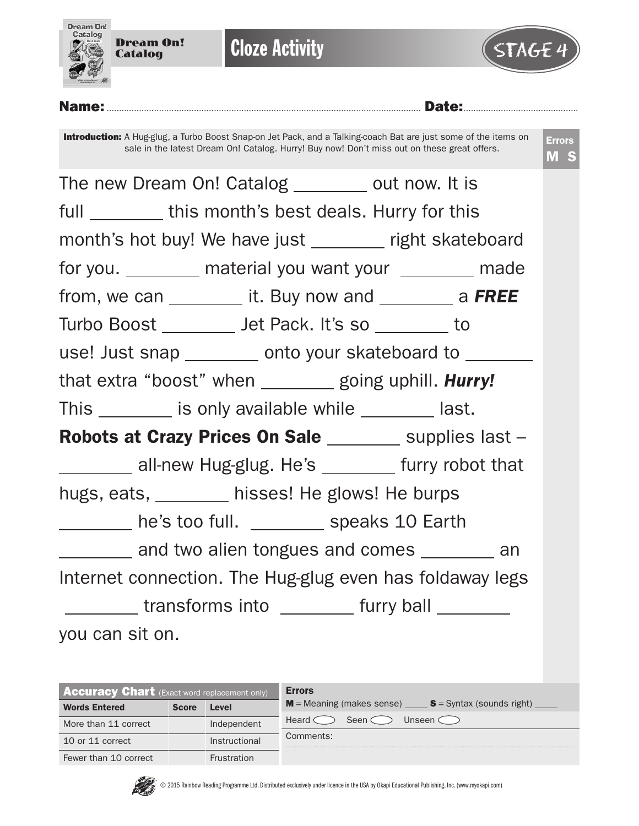

| <b>Accuracy Chart</b> (Exact word replacement only) |              |                    | <b>Errors</b>                                                   |
|-----------------------------------------------------|--------------|--------------------|-----------------------------------------------------------------|
| <b>Words Entered</b>                                | <b>Score</b> | Level              | $M$ = Meaning (makes sense) $S =$ Syntax (sounds right)         |
| More than 11 correct                                |              | Independent        | Seen $\subset$<br>Unseen $\subset$ $\supset$<br>Heard $\subset$ |
| 10 or 11 correct                                    |              | Instructional      | Comments:                                                       |
| Fewer than 10 correct                               |              | <b>Frustration</b> |                                                                 |

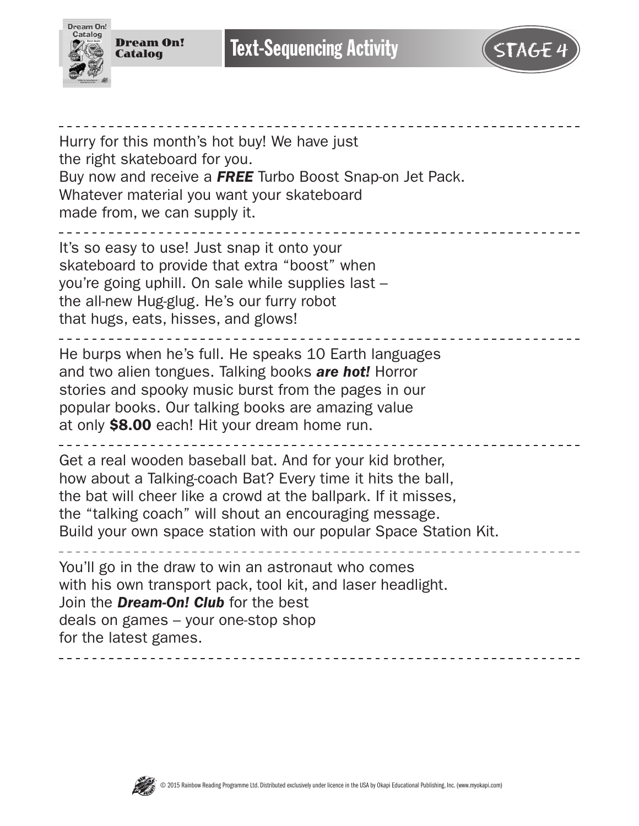



Hurry for this month's hot buy! We have just the right skateboard for you. Buy now and receive a *FREE* Turbo Boost Snap-on Jet Pack. Whatever material you want your skateboard made from, we can supply it. \_\_\_\_\_\_\_\_\_\_\_\_\_\_\_\_\_\_\_\_\_\_ It's so easy to use! Just snap it onto your skateboard to provide that extra "boost" when you're going uphill. On sale while supplies last – the all-new Hug-glug. He's our furry robot that hugs, eats, hisses, and glows! ----------------He burps when he's full. He speaks 10 Earth languages and two alien tongues. Talking books *are hot!* Horror stories and spooky music burst from the pages in our popular books. Our talking books are amazing value at only \$8.00 each! Hit your dream home run. Get a real wooden baseball bat. And for your kid brother, how about a Talking-coach Bat? Every time it hits the ball, the bat will cheer like a crowd at the ballpark. If it misses, the "talking coach" will shout an encouraging message. Build your own space station with our popular Space Station Kit. You'll go in the draw to win an astronaut who comes with his own transport pack, tool kit, and laser headlight. Join the *Dream-On! Club* for the best deals on games – your one-stop shop for the latest games.

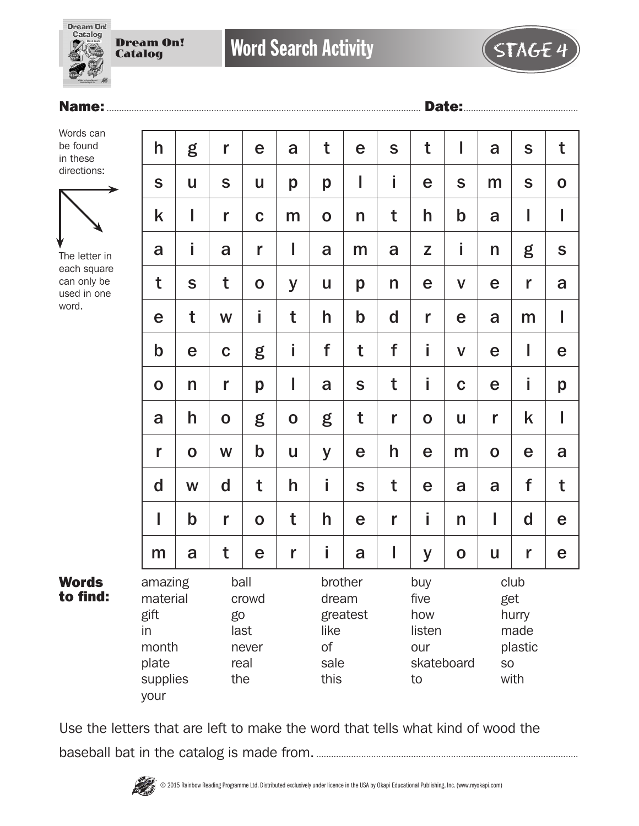Dream On! **Catalog** 

Dream On! Catalog



Words can be found in these directions:



The letter in each square can only be used in one word.

Words to find:

| $\mathsf{h}$                                                            | g           | r                                                   | e           | a           | t                                                     | e           | S                                                       | t           | I            | a                                                     | $\mathbf S$  | t             |
|-------------------------------------------------------------------------|-------------|-----------------------------------------------------|-------------|-------------|-------------------------------------------------------|-------------|---------------------------------------------------------|-------------|--------------|-------------------------------------------------------|--------------|---------------|
| S                                                                       | U           | $\mathbf S$                                         | U           | p           | p                                                     | I           | i                                                       | e           | $\mathsf{S}$ | m                                                     | S            | $\mathbf O$   |
| k                                                                       | I           | r                                                   | $\mathbf C$ | m           | $\mathbf 0$                                           | n           | t                                                       | h           | $\mathbf b$  | a                                                     | I            | I             |
| a                                                                       | i           | a                                                   | r           | I           | a                                                     | m           | a                                                       | Z           | İ            | n                                                     | g            | ${\mathsf S}$ |
| t                                                                       | $\mathbf S$ | t                                                   | $\mathbf 0$ | y           | U                                                     | p           | n                                                       | $\mathbf e$ | $\mathsf{V}$ | e                                                     | r            | a             |
| e                                                                       | t           | W                                                   | j.          | t           | h                                                     | $\mathbf b$ | $\mathbf d$                                             | r           | e            | a                                                     | m            | I             |
| $\mathbf b$                                                             | e           | $\mathbf C$                                         | g           | İ           | f                                                     | t           | f                                                       | İ           | $\mathbf V$  | e                                                     | I            | e             |
| $\mathbf 0$                                                             | n           | r                                                   | p           | I           | a                                                     | $\mathbf S$ | t                                                       | İ           | $\mathbf C$  | e                                                     | İ            | p             |
| a                                                                       | h           | $\mathbf 0$                                         | g           | $\mathbf 0$ | g                                                     | t           | r                                                       | $\mathbf 0$ | u            | r                                                     | k            | I             |
| r                                                                       | $\mathbf 0$ | W                                                   | $\mathbf b$ | U           | y                                                     | e           | h                                                       | e           | m            | $\mathbf O$                                           | e            | a             |
| $\mathsf{d}$                                                            | W           | $\mathbf d$                                         | t           | h           | İ                                                     | S           | t                                                       | e           | a            | a                                                     | f            | t             |
| I                                                                       | $\mathbf b$ | r                                                   | $\mathbf O$ | t           | h                                                     | e           | r                                                       | i           | n            | I                                                     | $\mathsf{d}$ | e             |
| m                                                                       | a           | t                                                   | e           | r           | İ.                                                    | a           | I                                                       | y           | $\mathbf O$  | u                                                     | r            | e             |
| amazing<br>material<br>gift<br>in<br>month<br>plate<br>supplies<br>your |             | ball<br>crowd<br>go<br>last<br>never<br>real<br>the |             |             | brother<br>dream<br>like<br><b>of</b><br>sale<br>this | greatest    | buy<br>five<br>how<br>listen<br>our<br>skateboard<br>to |             |              | club<br>get<br>hurry<br>made<br>plastic<br>SO<br>with |              |               |

Use the letters that are left to make the word that tells what kind of wood the baseball bat in the catalog is made from..........................................................................................................

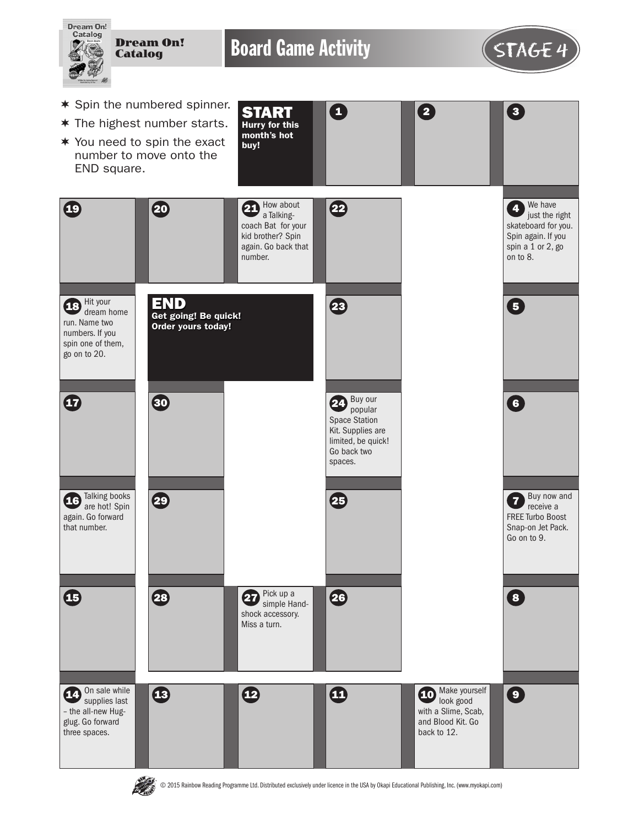



© 2015 Rainbow Reading Programme Ltd. Distributed exclusively under licence in the USA by Okapi Educational Publishing, Inc. (www.myokapi.com)